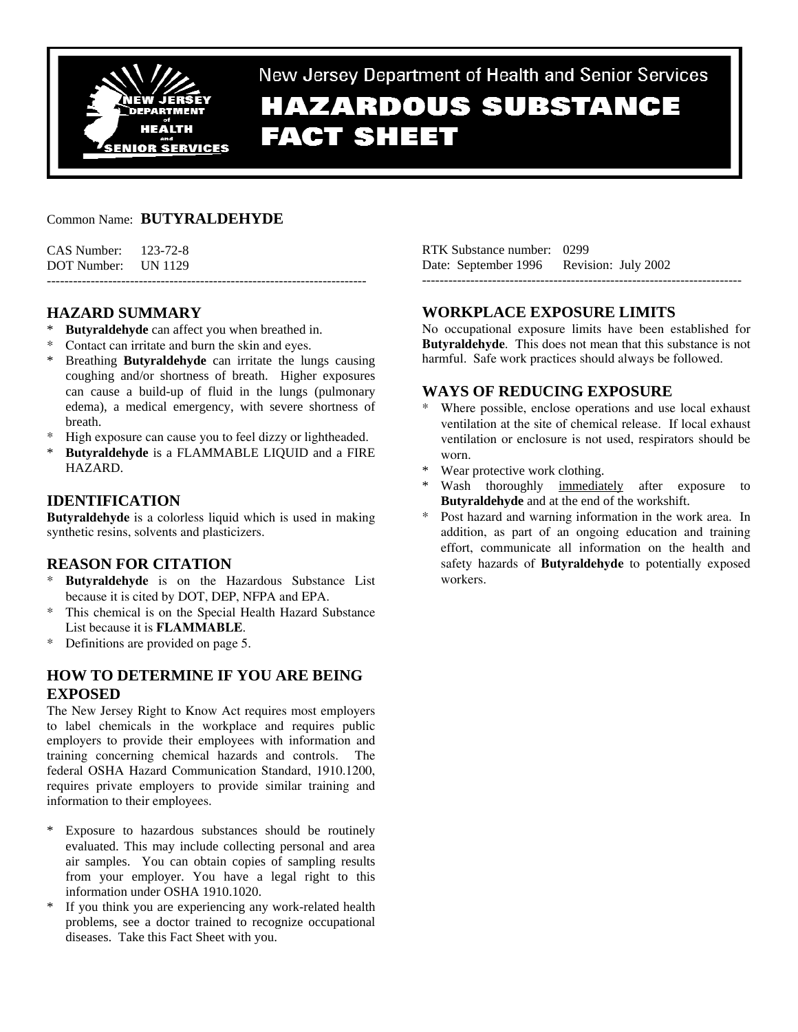

New Jersey Department of Health and Senior Services **HAZARDOUS SUBSTANCE** 

# **FACT SHEET**

# Common Name: **BUTYRALDEHYDE**

| $CAS$ Number: $123-72-8$ |  |
|--------------------------|--|
| DOT Number: UN 1129      |  |
|                          |  |

# **HAZARD SUMMARY**

- **Butyraldehyde** can affect you when breathed in.
- Contact can irritate and burn the skin and eyes.
- \* Breathing **Butyraldehyde** can irritate the lungs causing coughing and/or shortness of breath. Higher exposures can cause a build-up of fluid in the lungs (pulmonary edema), a medical emergency, with severe shortness of breath.
- High exposure can cause you to feel dizzy or lightheaded.
- **Butyraldehyde** is a FLAMMABLE LIQUID and a FIRE HAZARD.

# **IDENTIFICATION**

**Butyraldehyde** is a colorless liquid which is used in making synthetic resins, solvents and plasticizers.

# **REASON FOR CITATION**

- \* **Butyraldehyde** is on the Hazardous Substance List because it is cited by DOT, DEP, NFPA and EPA.
- \* This chemical is on the Special Health Hazard Substance List because it is **FLAMMABLE**.
- Definitions are provided on page 5.

# **HOW TO DETERMINE IF YOU ARE BEING EXPOSED**

The New Jersey Right to Know Act requires most employers to label chemicals in the workplace and requires public employers to provide their employees with information and training concerning chemical hazards and controls. The federal OSHA Hazard Communication Standard, 1910.1200, requires private employers to provide similar training and information to their employees.

- Exposure to hazardous substances should be routinely evaluated. This may include collecting personal and area air samples. You can obtain copies of sampling results from your employer. You have a legal right to this information under OSHA 1910.1020.
- If you think you are experiencing any work-related health problems, see a doctor trained to recognize occupational diseases. Take this Fact Sheet with you.

| RTK Substance number: 0299               |  |
|------------------------------------------|--|
| Date: September 1996 Revision: July 2002 |  |
|                                          |  |

# **WORKPLACE EXPOSURE LIMITS**

No occupational exposure limits have been established for **Butyraldehyde**. This does not mean that this substance is not harmful. Safe work practices should always be followed.

## **WAYS OF REDUCING EXPOSURE**

- Where possible, enclose operations and use local exhaust ventilation at the site of chemical release. If local exhaust ventilation or enclosure is not used, respirators should be worn.
- Wear protective work clothing.
- Wash thoroughly immediately after exposure to **Butyraldehyde** and at the end of the workshift.
- \* Post hazard and warning information in the work area. In addition, as part of an ongoing education and training effort, communicate all information on the health and safety hazards of **Butyraldehyde** to potentially exposed workers.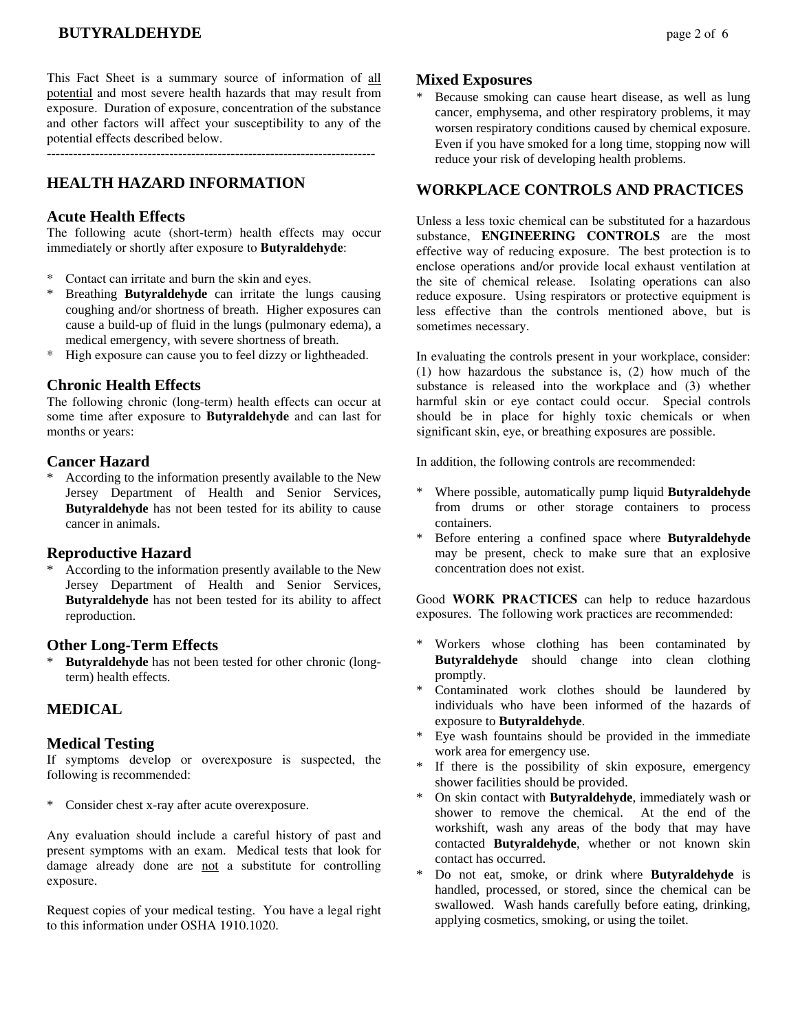This Fact Sheet is a summary source of information of all potential and most severe health hazards that may result from exposure. Duration of exposure, concentration of the substance and other factors will affect your susceptibility to any of the potential effects described below.

---------------------------------------------------------------------------

# **HEALTH HAZARD INFORMATION**

#### **Acute Health Effects**

The following acute (short-term) health effects may occur immediately or shortly after exposure to **Butyraldehyde**:

- Contact can irritate and burn the skin and eyes.
- \* Breathing **Butyraldehyde** can irritate the lungs causing coughing and/or shortness of breath. Higher exposures can cause a build-up of fluid in the lungs (pulmonary edema), a medical emergency, with severe shortness of breath.
- High exposure can cause you to feel dizzy or lightheaded.

#### **Chronic Health Effects**

The following chronic (long-term) health effects can occur at some time after exposure to **Butyraldehyde** and can last for months or years:

#### **Cancer Hazard**

\* According to the information presently available to the New Jersey Department of Health and Senior Services, **Butyraldehyde** has not been tested for its ability to cause cancer in animals.

#### **Reproductive Hazard**

According to the information presently available to the New Jersey Department of Health and Senior Services, **Butyraldehyde** has not been tested for its ability to affect reproduction.

#### **Other Long-Term Effects**

**Butyraldehyde** has not been tested for other chronic (longterm) health effects.

#### **MEDICAL**

#### **Medical Testing**

If symptoms develop or overexposure is suspected, the following is recommended:

\* Consider chest x-ray after acute overexposure.

Any evaluation should include a careful history of past and present symptoms with an exam. Medical tests that look for damage already done are not a substitute for controlling exposure.

Request copies of your medical testing. You have a legal right to this information under OSHA 1910.1020.

#### **Mixed Exposures**

Because smoking can cause heart disease, as well as lung cancer, emphysema, and other respiratory problems, it may worsen respiratory conditions caused by chemical exposure. Even if you have smoked for a long time, stopping now will reduce your risk of developing health problems.

#### **WORKPLACE CONTROLS AND PRACTICES**

Unless a less toxic chemical can be substituted for a hazardous substance, **ENGINEERING CONTROLS** are the most effective way of reducing exposure. The best protection is to enclose operations and/or provide local exhaust ventilation at the site of chemical release. Isolating operations can also reduce exposure. Using respirators or protective equipment is less effective than the controls mentioned above, but is sometimes necessary.

In evaluating the controls present in your workplace, consider: (1) how hazardous the substance is, (2) how much of the substance is released into the workplace and (3) whether harmful skin or eye contact could occur. Special controls should be in place for highly toxic chemicals or when significant skin, eye, or breathing exposures are possible.

In addition, the following controls are recommended:

- \* Where possible, automatically pump liquid **Butyraldehyde** from drums or other storage containers to process containers.
- \* Before entering a confined space where **Butyraldehyde** may be present, check to make sure that an explosive concentration does not exist.

Good **WORK PRACTICES** can help to reduce hazardous exposures. The following work practices are recommended:

- \* Workers whose clothing has been contaminated by **Butyraldehyde** should change into clean clothing promptly.
- Contaminated work clothes should be laundered by individuals who have been informed of the hazards of exposure to **Butyraldehyde**.
- Eye wash fountains should be provided in the immediate work area for emergency use.
- \* If there is the possibility of skin exposure, emergency shower facilities should be provided.
- \* On skin contact with **Butyraldehyde**, immediately wash or shower to remove the chemical. At the end of the workshift, wash any areas of the body that may have contacted **Butyraldehyde**, whether or not known skin contact has occurred.
- Do not eat, smoke, or drink where **Butyraldehyde** is handled, processed, or stored, since the chemical can be swallowed. Wash hands carefully before eating, drinking, applying cosmetics, smoking, or using the toilet.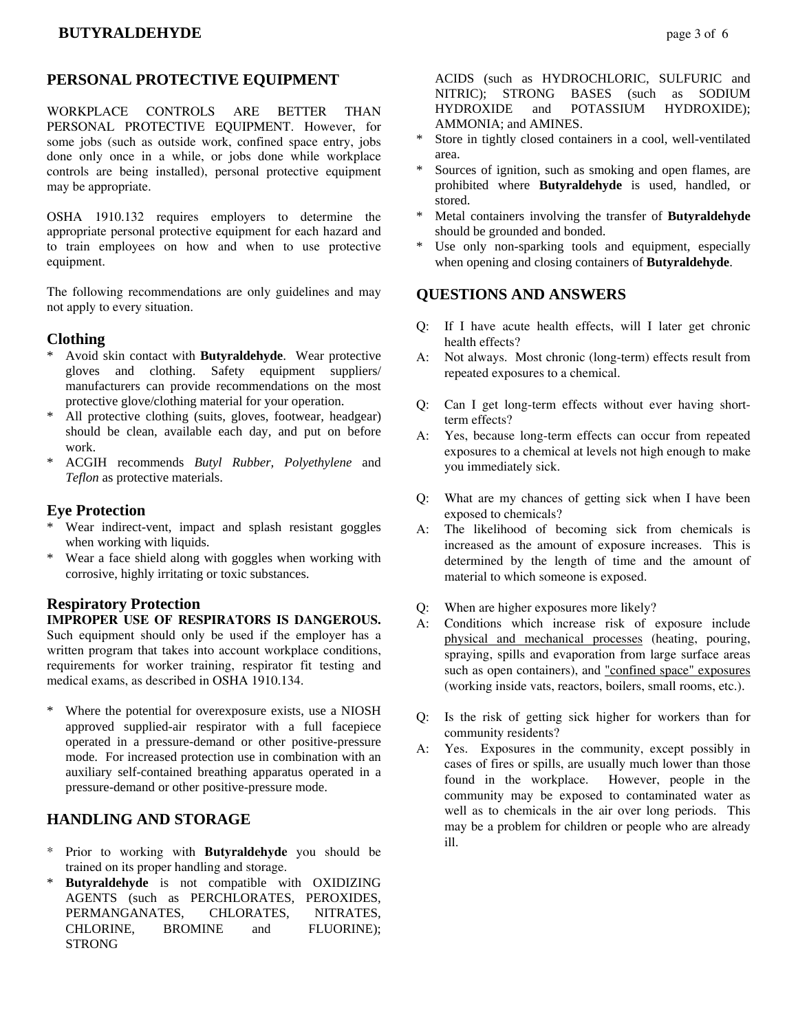## **PERSONAL PROTECTIVE EQUIPMENT**

WORKPLACE CONTROLS ARE BETTER THAN PERSONAL PROTECTIVE EQUIPMENT. However, for some jobs (such as outside work, confined space entry, jobs done only once in a while, or jobs done while workplace controls are being installed), personal protective equipment may be appropriate.

OSHA 1910.132 requires employers to determine the appropriate personal protective equipment for each hazard and to train employees on how and when to use protective equipment.

The following recommendations are only guidelines and may not apply to every situation.

#### **Clothing**

- Avoid skin contact with **Butyraldehyde**. Wear protective gloves and clothing. Safety equipment suppliers/ manufacturers can provide recommendations on the most protective glove/clothing material for your operation.
- \* All protective clothing (suits, gloves, footwear, headgear) should be clean, available each day, and put on before work.
- \* ACGIH recommends *Butyl Rubber, Polyethylene* and *Teflon* as protective materials.

#### **Eye Protection**

- \* Wear indirect-vent, impact and splash resistant goggles when working with liquids.
- \* Wear a face shield along with goggles when working with corrosive, highly irritating or toxic substances.

#### **Respiratory Protection**

**IMPROPER USE OF RESPIRATORS IS DANGEROUS.** Such equipment should only be used if the employer has a written program that takes into account workplace conditions, requirements for worker training, respirator fit testing and medical exams, as described in OSHA 1910.134.

\* Where the potential for overexposure exists, use a NIOSH approved supplied-air respirator with a full facepiece operated in a pressure-demand or other positive-pressure mode. For increased protection use in combination with an auxiliary self-contained breathing apparatus operated in a pressure-demand or other positive-pressure mode.

#### **HANDLING AND STORAGE**

- Prior to working with **Butyraldehyde** you should be trained on its proper handling and storage.
- \* **Butyraldehyde** is not compatible with OXIDIZING AGENTS (such as PERCHLORATES, PEROXIDES, PERMANGANATES, CHLORATES, NITRATES, CHLORINE, BROMINE and FLUORINE); **STRONG**

 ACIDS (such as HYDROCHLORIC, SULFURIC and NITRIC); STRONG BASES (such as SODIUM HYDROXIDE and POTASSIUM HYDROXIDE); AMMONIA; and AMINES.

- Store in tightly closed containers in a cool, well-ventilated area.
- Sources of ignition, such as smoking and open flames, are prohibited where **Butyraldehyde** is used, handled, or stored.
- Metal containers involving the transfer of **Butyraldehyde** should be grounded and bonded.
- Use only non-sparking tools and equipment, especially when opening and closing containers of **Butyraldehyde**.

## **QUESTIONS AND ANSWERS**

- Q: If I have acute health effects, will I later get chronic health effects?
- A: Not always. Most chronic (long-term) effects result from repeated exposures to a chemical.
- Q: Can I get long-term effects without ever having shortterm effects?
- A: Yes, because long-term effects can occur from repeated exposures to a chemical at levels not high enough to make you immediately sick.
- Q: What are my chances of getting sick when I have been exposed to chemicals?
- A: The likelihood of becoming sick from chemicals is increased as the amount of exposure increases. This is determined by the length of time and the amount of material to which someone is exposed.
- Q: When are higher exposures more likely?
- A: Conditions which increase risk of exposure include physical and mechanical processes (heating, pouring, spraying, spills and evaporation from large surface areas such as open containers), and "confined space" exposures (working inside vats, reactors, boilers, small rooms, etc.).
- Q: Is the risk of getting sick higher for workers than for community residents?
- A: Yes. Exposures in the community, except possibly in cases of fires or spills, are usually much lower than those found in the workplace. However, people in the community may be exposed to contaminated water as well as to chemicals in the air over long periods. This may be a problem for children or people who are already ill.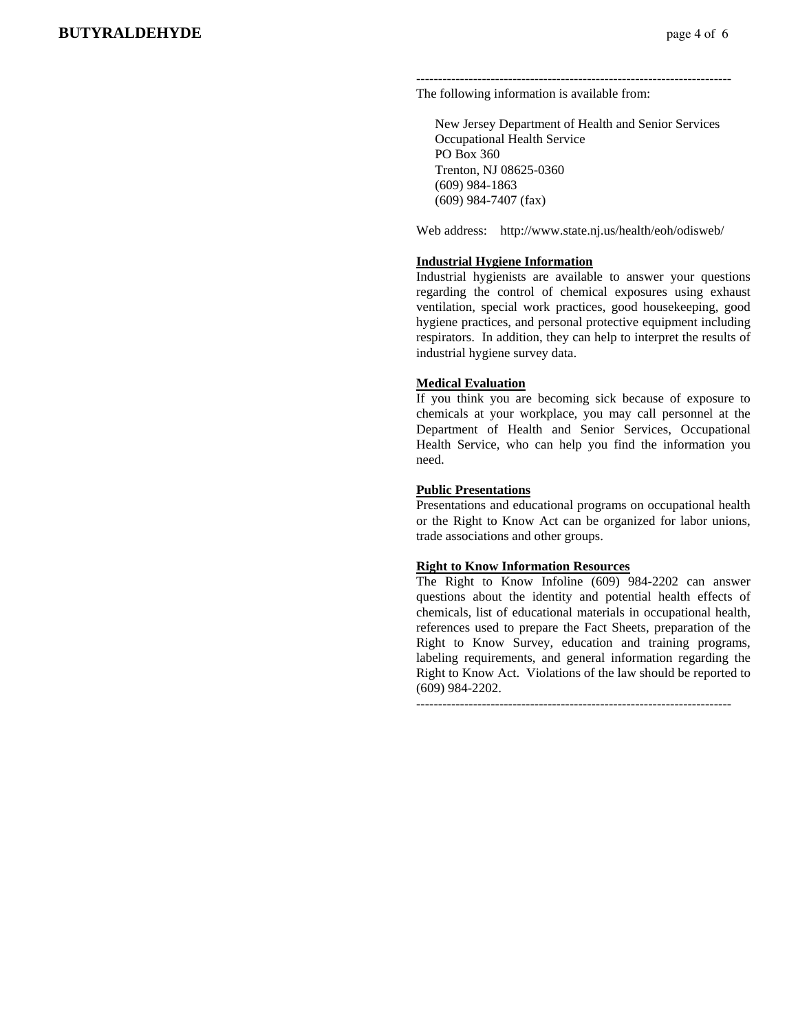------------------------------------------------------------------------ The following information is available from:

 New Jersey Department of Health and Senior Services Occupational Health Service PO Box 360 Trenton, NJ 08625-0360 (609) 984-1863 (609) 984-7407 (fax)

Web address: http://www.state.nj.us/health/eoh/odisweb/

#### **Industrial Hygiene Information**

Industrial hygienists are available to answer your questions regarding the control of chemical exposures using exhaust ventilation, special work practices, good housekeeping, good hygiene practices, and personal protective equipment including respirators. In addition, they can help to interpret the results of industrial hygiene survey data.

#### **Medical Evaluation**

If you think you are becoming sick because of exposure to chemicals at your workplace, you may call personnel at the Department of Health and Senior Services, Occupational Health Service, who can help you find the information you need.

#### **Public Presentations**

Presentations and educational programs on occupational health or the Right to Know Act can be organized for labor unions, trade associations and other groups.

#### **Right to Know Information Resources**

The Right to Know Infoline (609) 984-2202 can answer questions about the identity and potential health effects of chemicals, list of educational materials in occupational health, references used to prepare the Fact Sheets, preparation of the Right to Know Survey, education and training programs, labeling requirements, and general information regarding the Right to Know Act. Violations of the law should be reported to (609) 984-2202.

 $-$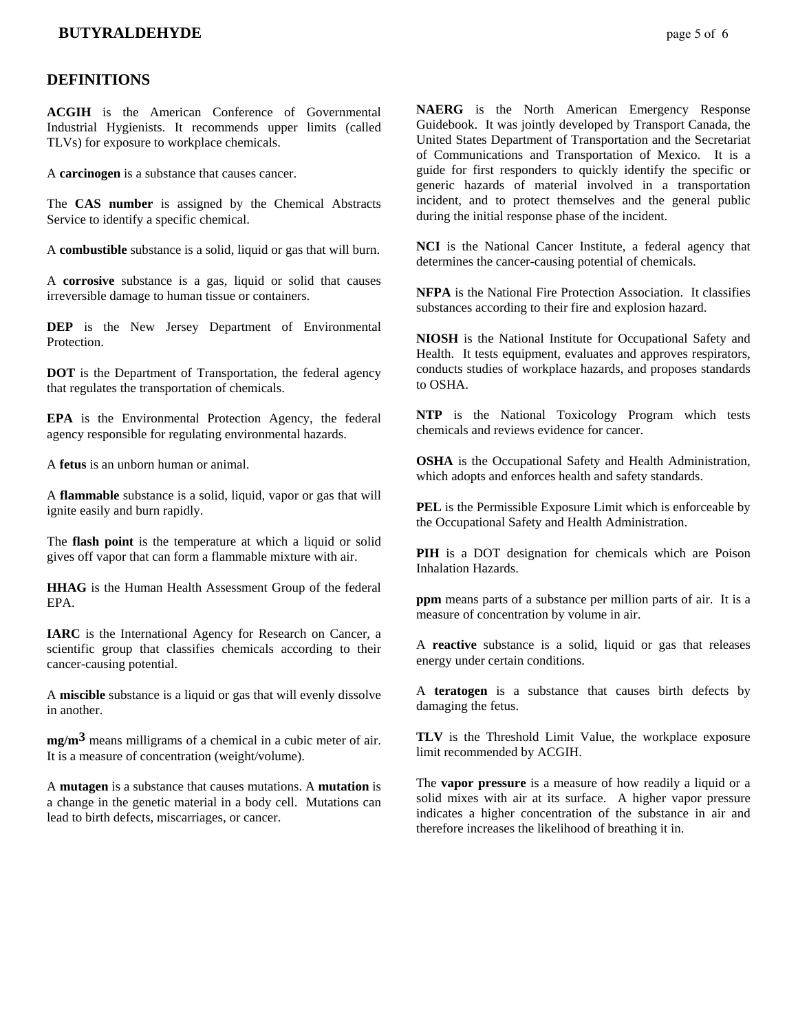#### **DEFINITIONS**

**ACGIH** is the American Conference of Governmental Industrial Hygienists. It recommends upper limits (called TLVs) for exposure to workplace chemicals.

A **carcinogen** is a substance that causes cancer.

The **CAS number** is assigned by the Chemical Abstracts Service to identify a specific chemical.

A **combustible** substance is a solid, liquid or gas that will burn.

A **corrosive** substance is a gas, liquid or solid that causes irreversible damage to human tissue or containers.

**DEP** is the New Jersey Department of Environmental **Protection** 

**DOT** is the Department of Transportation, the federal agency that regulates the transportation of chemicals.

**EPA** is the Environmental Protection Agency, the federal agency responsible for regulating environmental hazards.

A **fetus** is an unborn human or animal.

A **flammable** substance is a solid, liquid, vapor or gas that will ignite easily and burn rapidly.

The **flash point** is the temperature at which a liquid or solid gives off vapor that can form a flammable mixture with air.

**HHAG** is the Human Health Assessment Group of the federal EPA.

**IARC** is the International Agency for Research on Cancer, a scientific group that classifies chemicals according to their cancer-causing potential.

A **miscible** substance is a liquid or gas that will evenly dissolve in another.

**mg/m3** means milligrams of a chemical in a cubic meter of air. It is a measure of concentration (weight/volume).

A **mutagen** is a substance that causes mutations. A **mutation** is a change in the genetic material in a body cell. Mutations can lead to birth defects, miscarriages, or cancer.

**NAERG** is the North American Emergency Response Guidebook. It was jointly developed by Transport Canada, the United States Department of Transportation and the Secretariat of Communications and Transportation of Mexico. It is a guide for first responders to quickly identify the specific or generic hazards of material involved in a transportation incident, and to protect themselves and the general public during the initial response phase of the incident.

**NCI** is the National Cancer Institute, a federal agency that determines the cancer-causing potential of chemicals.

**NFPA** is the National Fire Protection Association. It classifies substances according to their fire and explosion hazard.

**NIOSH** is the National Institute for Occupational Safety and Health. It tests equipment, evaluates and approves respirators, conducts studies of workplace hazards, and proposes standards to OSHA.

**NTP** is the National Toxicology Program which tests chemicals and reviews evidence for cancer.

**OSHA** is the Occupational Safety and Health Administration, which adopts and enforces health and safety standards.

**PEL** is the Permissible Exposure Limit which is enforceable by the Occupational Safety and Health Administration.

**PIH** is a DOT designation for chemicals which are Poison Inhalation Hazards.

**ppm** means parts of a substance per million parts of air. It is a measure of concentration by volume in air.

A **reactive** substance is a solid, liquid or gas that releases energy under certain conditions.

A **teratogen** is a substance that causes birth defects by damaging the fetus.

**TLV** is the Threshold Limit Value, the workplace exposure limit recommended by ACGIH.

The **vapor pressure** is a measure of how readily a liquid or a solid mixes with air at its surface. A higher vapor pressure indicates a higher concentration of the substance in air and therefore increases the likelihood of breathing it in.